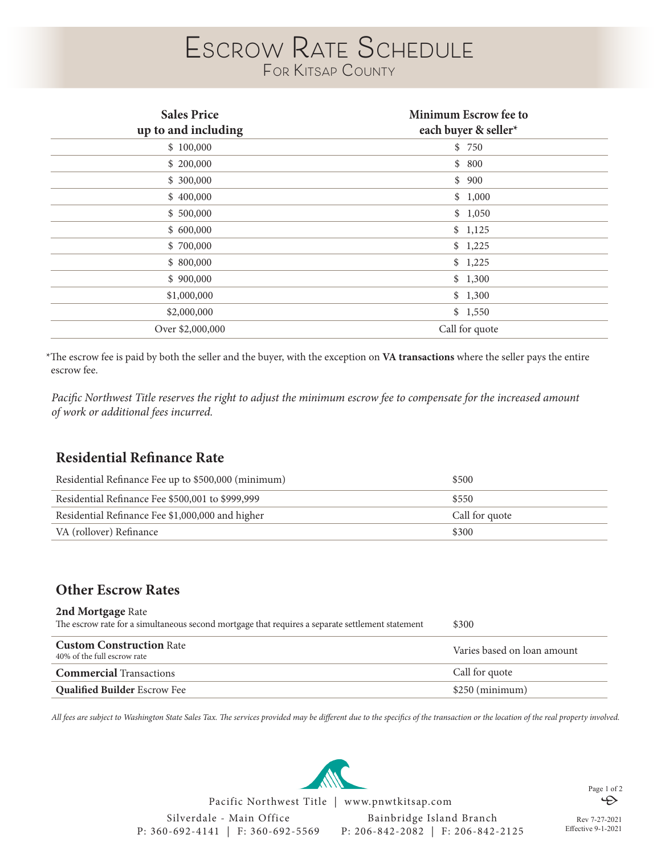# **Escrow Rate Schedule For Kitsap County**

| <b>Sales Price</b><br>up to and including | Minimum Escrow fee to<br>each buyer & seller* |
|-------------------------------------------|-----------------------------------------------|
| \$100,000                                 | \$750                                         |
| \$ 200,000                                | \$800                                         |
| \$ 300,000                                | \$900                                         |
| \$400,000                                 | \$1,000                                       |
| \$500,000                                 | \$1,050                                       |
| \$600,000                                 | \$1,125                                       |
| \$700,000                                 | \$1,225                                       |
| \$800,000                                 | \$1,225                                       |
| \$900,000                                 | \$1,300                                       |
| \$1,000,000                               | \$1,300                                       |
| \$2,000,000                               | \$1,550                                       |
| Over \$2,000,000                          | Call for quote                                |

\*The escrow fee is paid by both the seller and the buyer, with the exception on **VA transactions** where the seller pays the entire escrow fee.

*Pacific Northwest Title reserves the right to adjust the minimum escrow fee to compensate for the increased amount of work or additional fees incurred.* 

# **Residential Refinance Rate**

| Residential Refinance Fee up to \$500,000 (minimum) | \$500          |
|-----------------------------------------------------|----------------|
| Residential Refinance Fee \$500,001 to \$999,999    | \$550          |
| Residential Refinance Fee \$1,000,000 and higher    | Call for quote |
| VA (rollover) Refinance                             | \$300          |

# **Other Escrow Rates**

| 2nd Mortgage Rate<br>The escrow rate for a simultaneous second mortgage that requires a separate settlement statement | \$300                       |
|-----------------------------------------------------------------------------------------------------------------------|-----------------------------|
| <b>Custom Construction Rate</b><br>40% of the full escrow rate                                                        | Varies based on loan amount |
| <b>Commercial</b> Transactions                                                                                        | Call for quote              |
| <b>Qualified Builder Escrow Fee</b>                                                                                   | \$250 (minimum)             |

*All fees are subject to Washington State Sales Tax. The services provided may be different due to the specifics of the transaction or the location of the real property involved.* 

Silverdale - Main Office P: 360-692-4141 | F: 360-692-5569 Bainbridge Island Branch P: 206-842-2082 | F: 206-842-2125 Pacific Northwest Title | www.pnwtkitsap.com

Rev 7-27-2021 Effective 9-1-2021